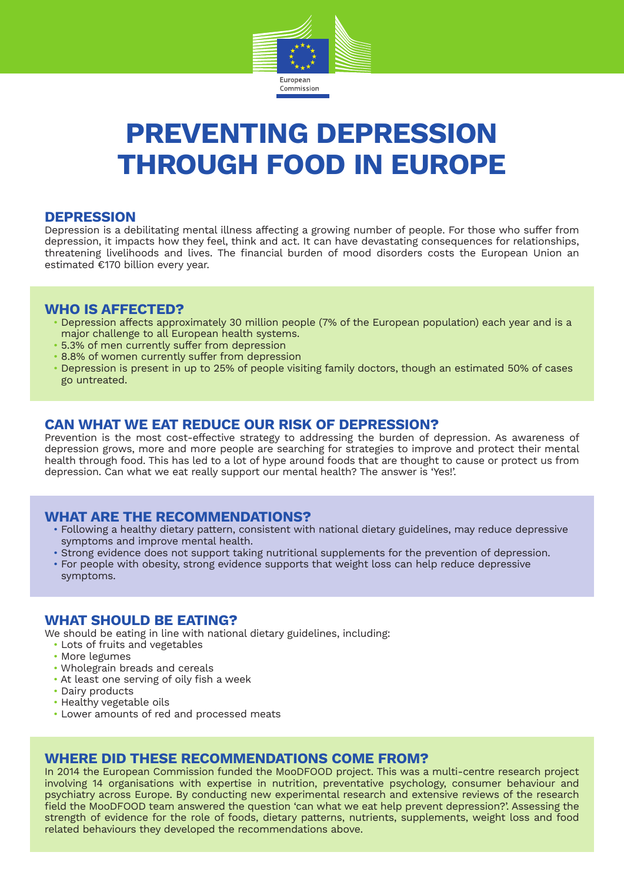

# **Preventing Depression through Food in Europe**

#### **Depression**

Depression is a debilitating mental illness affecting a growing number of people. For those who suffer from depression, it impacts how they feel, think and act. It can have devastating consequences for relationships, threatening livelihoods and lives. The financial burden of mood disorders costs the European Union an estimated €170 billion every year.

## **Who is affected?**

- Depression affects approximately 30 million people (7% of the European population) each year and is a major challenge to all European health systems.
- 5.3% of men currently suffer from depression
- 8.8% of women currently suffer from depression
- Depression is present in up to 25% of people visiting family doctors, though an estimated 50% of cases go untreated.

# **Can what we eat reduce our risk of depression?**

Prevention is the most cost-effective strategy to addressing the burden of depression. As awareness of depression grows, more and more people are searching for strategies to improve and protect their mental health through food. This has led to a lot of hype around foods that are thought to cause or protect us from depression. Can what we eat really support our mental health? The answer is 'Yes!'.

## **What are the recommendations?**

- Following a healthy dietary pattern, consistent with national dietary guidelines, may reduce depressive symptoms and improve mental health.
- Strong evidence does not support taking nutritional supplements for the prevention of depression.
- For people with obesity, strong evidence supports that weight loss can help reduce depressive symptoms.

## **What should be eating?**

We should be eating in line with national dietary guidelines, including:

- Lots of fruits and vegetables
- More legumes
- Wholegrain breads and cereals
- At least one serving of oily fish a week
- Dairy products
- Healthy vegetable oils
- Lower amounts of red and processed meats

## **Where did these recommendations come from?**

In 2014 the European Commission funded the MooDFOOD project. This was a multi-centre research project involving 14 organisations with expertise in nutrition, preventative psychology, consumer behaviour and psychiatry across Europe. By conducting new experimental research and extensive reviews of the research field the MooDFOOD team answered the question 'can what we eat help prevent depression?'. Assessing the strength of evidence for the role of foods, dietary patterns, nutrients, supplements, weight loss and food related behaviours they developed the recommendations above.